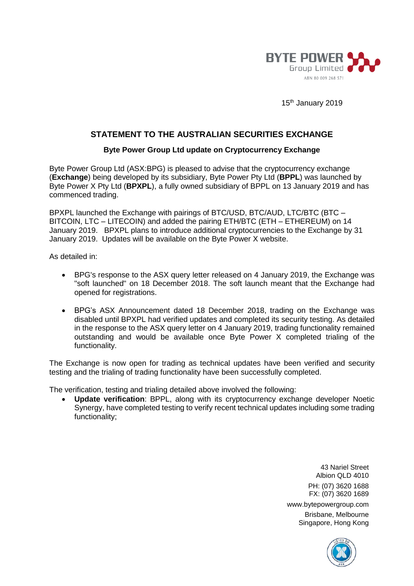

15<sup>th</sup> January 2019

## **STATEMENT TO THE AUSTRALIAN SECURITIES EXCHANGE**

## **Byte Power Group Ltd update on Cryptocurrency Exchange**

Byte Power Group Ltd (ASX:BPG) is pleased to advise that the cryptocurrency exchange (**Exchange**) being developed by its subsidiary, Byte Power Pty Ltd (**BPPL**) was launched by Byte Power X Pty Ltd (**BPXPL**), a fully owned subsidiary of BPPL on 13 January 2019 and has commenced trading.

BPXPL launched the Exchange with pairings of BTC/USD, BTC/AUD, LTC/BTC (BTC – BITCOIN, LTC – LITECOIN) and added the pairing ETH/BTC (ETH – ETHEREUM) on 14 January 2019. BPXPL plans to introduce additional cryptocurrencies to the Exchange by 31 January 2019. Updates will be available on the Byte Power X website.

As detailed in:

- BPG's response to the ASX query letter released on 4 January 2019, the Exchange was "soft launched" on 18 December 2018. The soft launch meant that the Exchange had opened for registrations.
- BPG's ASX Announcement dated 18 December 2018, trading on the Exchange was disabled until BPXPL had verified updates and completed its security testing. As detailed in the response to the ASX query letter on 4 January 2019, trading functionality remained outstanding and would be available once Byte Power X completed trialing of the functionality.

The Exchange is now open for trading as technical updates have been verified and security testing and the trialing of trading functionality have been successfully completed.

The verification, testing and trialing detailed above involved the following:

• **Update verification**: BPPL, along with its cryptocurrency exchange developer Noetic Synergy, have completed testing to verify recent technical updates including some trading functionality;

> 43 Nariel Street Albion QLD 4010 PH: (07) 3620 1688 FX: (07) 3620 1689 www.bytepowergroup.com

Brisbane, Melbourne Singapore, Hong Kong